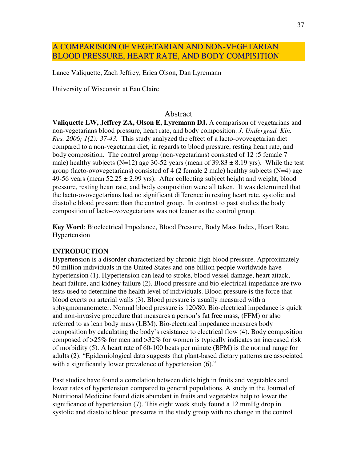# A COMPARISION OF VEGETARIAN AND NON-VEGETARIAN BLOOD PRESSURE, HEART RATE, AND BODY COMPISITION

Lance Valiquette, Zach Jeffrey, Erica Olson, Dan Lyremann

University of Wisconsin at Eau Claire

#### Abstract

**Valiquette LW, Jeffrey ZA, Olson E, Lyremann DJ.** A comparison of vegetarians and non-vegetarians blood pressure, heart rate, and body composition. *J. Undergrad. Kin. Res. 2006; 1(2): 37-43.* This study analyzed the effect of a lacto-ovovegetarian diet compared to a non-vegetarian diet, in regards to blood pressure, resting heart rate, and body composition. The control group (non-vegetarians) consisted of 12 (5 female 7 male) healthy subjects (N=12) age 30-52 years (mean of  $39.83 \pm 8.19$  yrs). While the test group (lacto-ovovegetarians) consisted of 4 (2 female 2 male) healthy subjects ( $N=4$ ) age 49-56 years (mean  $52.25 \pm 2.99$  yrs). After collecting subject height and weight, blood pressure, resting heart rate, and body composition were all taken. It was determined that the lacto-ovovegetarians had no significant difference in resting heart rate, systolic and diastolic blood pressure than the control group. In contrast to past studies the body composition of lacto-ovovegetarians was not leaner as the control group.

**Key Word**: Bioelectrical Impedance, Blood Pressure, Body Mass Index, Heart Rate, Hypertension

#### **INTRODUCTION**

Hypertension is a disorder characterized by chronic high blood pressure. Approximately 50 million individuals in the United States and one billion people worldwide have hypertension (1). Hypertension can lead to stroke, blood vessel damage, heart attack, heart failure, and kidney failure (2). Blood pressure and bio-electrical impedance are two tests used to determine the health level of individuals. Blood pressure is the force that blood exerts on arterial walls (3). Blood pressure is usually measured with a sphygmomanometer. Normal blood pressure is 120/80. Bio-electrical impedance is quick and non-invasive procedure that measures a person's fat free mass, (FFM) or also referred to as lean body mass (LBM). Bio-electrical impedance measures body composition by calculating the body's resistance to electrical flow (4). Body composition composed of >25% for men and >32% for women is typically indicates an increased risk of morbidity (5). A heart rate of 60-100 beats per minute (BPM) is the normal range for adults (2). "Epidemiological data suggests that plant-based dietary patterns are associated with a significantly lower prevalence of hypertension  $(6)$ ."

Past studies have found a correlation between diets high in fruits and vegetables and lower rates of hypertension compared to general populations. A study in the Journal of Nutritional Medicine found diets abundant in fruits and vegetables help to lower the significance of hypertension (7). This eight week study found a 12 mmHg drop in systolic and diastolic blood pressures in the study group with no change in the control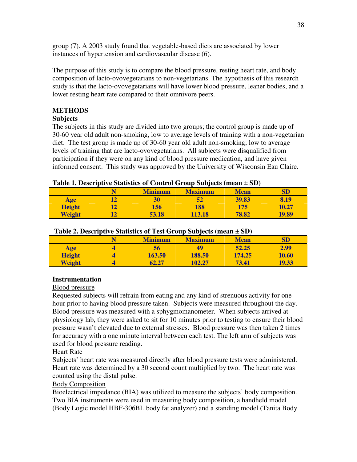group (7). A 2003 study found that vegetable-based diets are associated by lower instances of hypertension and cardiovascular disease (6).

The purpose of this study is to compare the blood pressure, resting heart rate, and body composition of lacto-ovovegetarians to non-vegetarians. The hypothesis of this research study is that the lacto-ovovegetarians will have lower blood pressure, leaner bodies, and a lower resting heart rate compared to their omnivore peers.

## **METHODS**

## **Subjects**

The subjects in this study are divided into two groups; the control group is made up of 30-60 year old adult non-smoking, low to average levels of training with a non-vegetarian diet. The test group is made up of 30-60 year old adult non-smoking; low to average levels of training that are lacto-ovovegetarians. All subjects were disqualified from participation if they were on any kind of blood pressure medication, and have given informed consent. This study was approved by the University of Wisconsin Eau Claire.

## **Table 1. Descriptive Statistics of Control Group Subjects (mean ± SD)**

|               | <b>Minimum</b> | <b>Maximum</b> | <b>Mean</b> | ${\bf SD}$ |
|---------------|----------------|----------------|-------------|------------|
| Age           | 30             | 52             | 39.83       | 8.19       |
| <b>Height</b> | 156            | 188            | 175         | 10.27      |
| Weight        | 53.18          | 13.18          | 78.82       | 19.89      |

## **Table 2. Descriptive Statistics of Test Group Subjects (mean ± SD)**

|               |  | <b>Minimum</b> | <b>Maximum</b> | <b>Mean</b> | ${\bf SD}$ |  |
|---------------|--|----------------|----------------|-------------|------------|--|
| <b>Age</b>    |  | 56             | 49             | 52.25       | 2.99       |  |
| <b>Height</b> |  | 163.50         | 188.50         | 174.25      | 10.60      |  |
| Weight        |  | 62.27          | 102.27         | 73.41       | 19.33      |  |

## **Instrumentation**

### Blood pressure

Requested subjects will refrain from eating and any kind of strenuous activity for one hour prior to having blood pressure taken. Subjects were measured throughout the day. Blood pressure was measured with a sphygmomanometer. When subjects arrived at physiology lab, they were asked to sit for 10 minutes prior to testing to ensure their blood pressure wasn't elevated due to external stresses. Blood pressure was then taken 2 times for accuracy with a one minute interval between each test. The left arm of subjects was used for blood pressure reading.

## Heart Rate

Subjects' heart rate was measured directly after blood pressure tests were administered. Heart rate was determined by a 30 second count multiplied by two. The heart rate was counted using the distal pulse.

## Body Composition

Bioelectrical impedance (BIA) was utilized to measure the subjects' body composition. Two BIA instruments were used in measuring body composition, a handheld model (Body Logic model HBF-306BL body fat analyzer) and a standing model (Tanita Body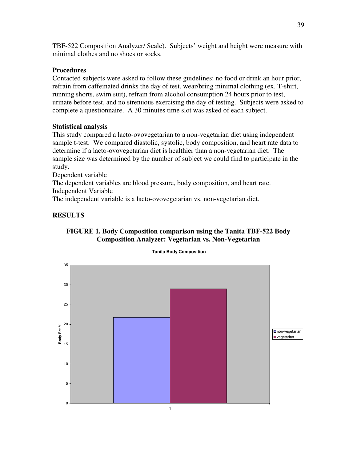TBF-522 Composition Analyzer/ Scale). Subjects' weight and height were measure with minimal clothes and no shoes or socks.

## **Procedures**

Contacted subjects were asked to follow these guidelines: no food or drink an hour prior, refrain from caffeinated drinks the day of test, wear/bring minimal clothing (ex. T-shirt, running shorts, swim suit), refrain from alcohol consumption 24 hours prior to test, urinate before test, and no strenuous exercising the day of testing. Subjects were asked to complete a questionnaire. A 30 minutes time slot was asked of each subject.

## **Statistical analysis**

This study compared a lacto-ovovegetarian to a non-vegetarian diet using independent sample t-test. We compared diastolic, systolic, body composition, and heart rate data to determine if a lacto-ovovegetarian diet is healthier than a non-vegetarian diet. The sample size was determined by the number of subject we could find to participate in the study.

Dependent variable

The dependent variables are blood pressure, body composition, and heart rate. Independent Variable

The independent variable is a lacto-ovovegetarian vs. non-vegetarian diet.

## **RESULTS**



#### **Tanita Body Composition**

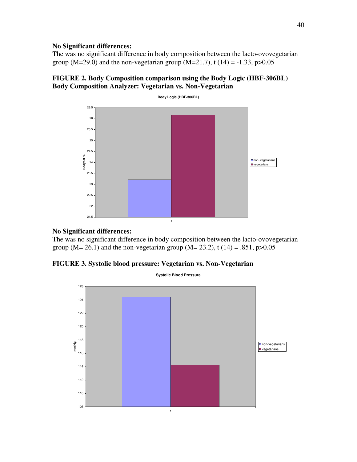### **No Significant differences:**

The was no significant difference in body composition between the lacto-ovovegetarian group (M=29.0) and the non-vegetarian group (M=21.7), t (14) = -1.33, p>0.05

# **FIGURE 2. Body Composition comparison using the Body Logic (HBF-306BL) Body Composition Analyzer: Vegetarian vs. Non-Vegetarian**



### **No Significant differences:**

The was no significant difference in body composition between the lacto-ovovegetarian group (M= 26.1) and the non-vegetarian group (M= 23.2), t (14) = .851, p>0.05

## **FIGURE 3. Systolic blood pressure: Vegetarian vs. Non-Vegetarian**

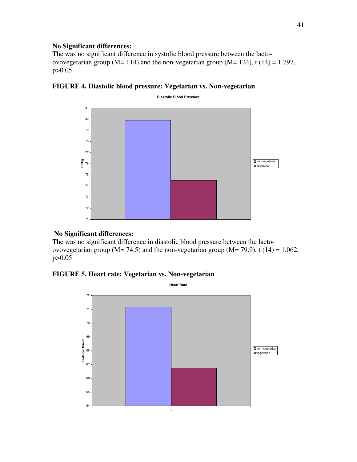### **No Significant differences:**

The was no significant difference in systolic blood pressure between the lactoovovegetarian group (M= 114) and the non-vegetarian group (M= 124), t (14) = 1.797, p>0.05





### **No Significant differences:**

The was no significant difference in diastolic blood pressure between the lactoovovegetarian group ( $M = 74.5$ ) and the non-vegetarian group ( $M = 79.9$ ), t (14) = 1.062, p>0.05

## **FIGURE 5. Heart rate: Vegetarian vs. Non-vegetarian**

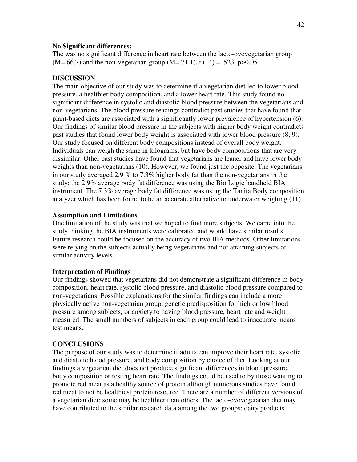#### **No Significant differences:**

The was no significant difference in heart rate between the lacto-ovovegetarian group  $(M= 66.7)$  and the non-vegetarian group  $(M= 71.1)$ , t  $(14) = .523$ , p $>0.05$ 

#### **DISCUSSION**

The main objective of our study was to determine if a vegetarian diet led to lower blood pressure, a healthier body composition, and a lower heart rate. This study found no significant difference in systolic and diastolic blood pressure between the vegetarians and non-vegetarians. The blood pressure readings contradict past studies that have found that plant-based diets are associated with a significantly lower prevalence of hypertension (6). Our findings of similar blood pressure in the subjects with higher body weight contradicts past studies that found lower body weight is associated with lower blood pressure (8, 9). Our study focused on different body compositions instead of overall body weight. Individuals can weigh the same in kilograms, but have body compositions that are very dissimilar. Other past studies have found that vegetarians are leaner and have lower body weights than non-vegetarians (10). However, we found just the opposite. The vegetarians in our study averaged 2.9 % to 7.3% higher body fat than the non-vegetarians in the study; the 2.9% average body fat difference was using the Bio Logic handheld BIA instrument. The 7.3% average body fat difference was using the Tanita Body composition analyzer which has been found to be an accurate alternative to underwater weighing (11).

#### **Assumption and Limitations**

One limitation of the study was that we hoped to find more subjects. We came into the study thinking the BIA instruments were calibrated and would have similar results. Future research could be focused on the accuracy of two BIA methods. Other limitations were relying on the subjects actually being vegetarians and not attaining subjects of similar activity levels.

#### **Interpretation of Findings**

Our findings showed that vegetarians did not demonstrate a significant difference in body composition, heart rate, systolic blood pressure, and diastolic blood pressure compared to non-vegetarians. Possible explanations for the similar findings can include a more physically active non-vegetarian group, genetic predisposition for high or low blood pressure among subjects, or anxiety to having blood pressure, heart rate and weight measured. The small numbers of subjects in each group could lead to inaccurate means test means.

#### **CONCLUSIONS**

The purpose of our study was to determine if adults can improve their heart rate, systolic and diastolic blood pressure, and body composition by choice of diet. Looking at our findings a vegetarian diet does not produce significant differences in blood pressure, body composition or resting heart rate. The findings could be used to by those wanting to promote red meat as a healthy source of protein although numerous studies have found red meat to not be healthiest protein resource. There are a number of different versions of a vegetarian diet; some may be healthier than others. The lacto-ovovegetarian diet may have contributed to the similar research data among the two groups; dairy products